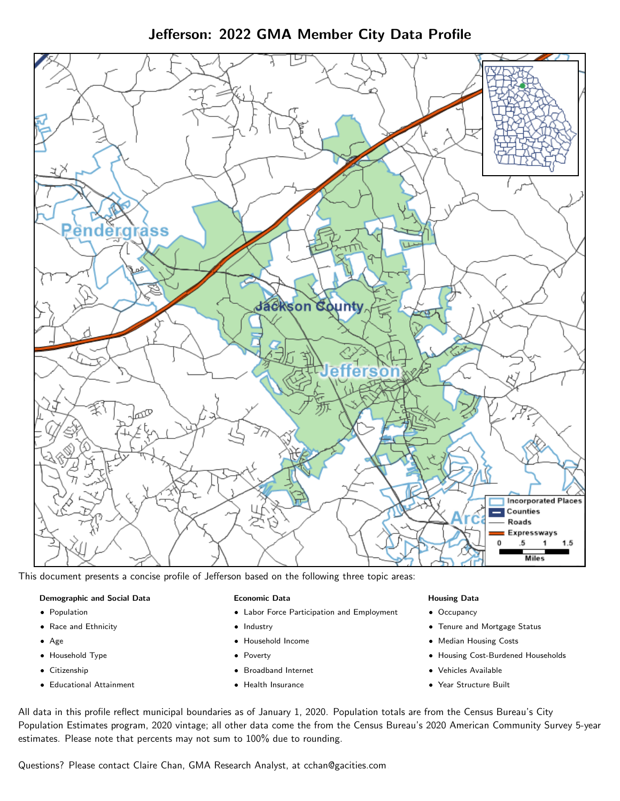Jefferson: 2022 GMA Member City Data Profile



This document presents a concise profile of Jefferson based on the following three topic areas:

## Demographic and Social Data

- **•** Population
- Race and Ethnicity
- Age
- Household Type
- **Citizenship**
- Educational Attainment

## Economic Data

- Labor Force Participation and Employment
- Industry
- Household Income
- Poverty
- Broadband Internet
- Health Insurance

## Housing Data

- Occupancy
- Tenure and Mortgage Status
- Median Housing Costs
- Housing Cost-Burdened Households
- Vehicles Available
- Year Structure Built

All data in this profile reflect municipal boundaries as of January 1, 2020. Population totals are from the Census Bureau's City Population Estimates program, 2020 vintage; all other data come the from the Census Bureau's 2020 American Community Survey 5-year estimates. Please note that percents may not sum to 100% due to rounding.

Questions? Please contact Claire Chan, GMA Research Analyst, at [cchan@gacities.com.](mailto:cchan@gacities.com)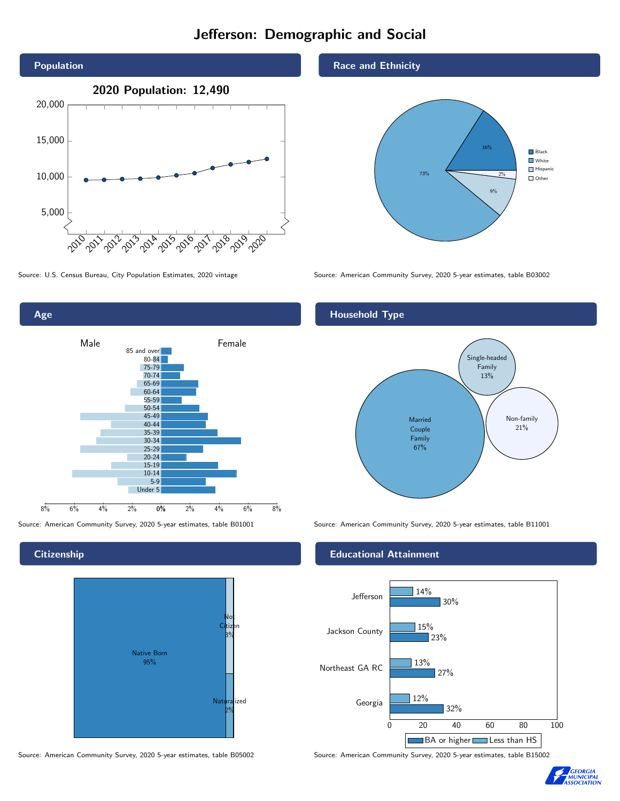# Jefferson: Demographic and Social





# **Citizenship**



Source: American Community Survey, 2020 5-year estimates, table B05002 Source: American Community Survey, 2020 5-year estimates, table B15002

# Race and Ethnicity



Source: U.S. Census Bureau, City Population Estimates, 2020 vintage Source: American Community Survey, 2020 5-year estimates, table B03002

# Household Type



Source: American Community Survey, 2020 5-year estimates, table B01001 Source: American Community Survey, 2020 5-year estimates, table B11001

## Educational Attainment



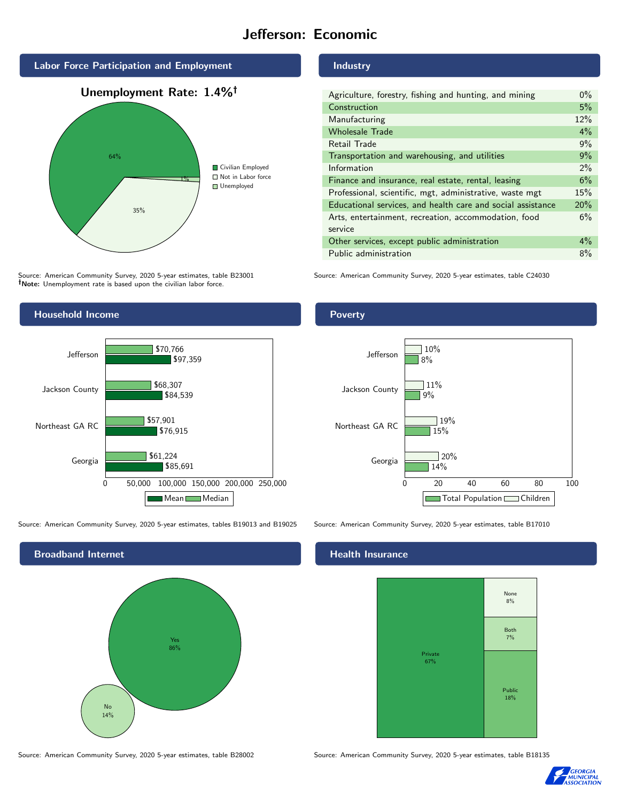# Jefferson: Economic



Source: American Community Survey, 2020 5-year estimates, table B23001 Note: Unemployment rate is based upon the civilian labor force.



Source: American Community Survey, 2020 5-year estimates, tables B19013 and B19025 Source: American Community Survey, 2020 5-year estimates, table B17010



#### Industry

| Agriculture, forestry, fishing and hunting, and mining      | $0\%$ |
|-------------------------------------------------------------|-------|
| Construction                                                | 5%    |
| Manufacturing                                               | 12%   |
| <b>Wholesale Trade</b>                                      | 4%    |
| Retail Trade                                                | 9%    |
| Transportation and warehousing, and utilities               | 9%    |
| Information                                                 | $2\%$ |
| Finance and insurance, real estate, rental, leasing         | 6%    |
| Professional, scientific, mgt, administrative, waste mgt    | 15%   |
| Educational services, and health care and social assistance | 20%   |
| Arts, entertainment, recreation, accommodation, food        | 6%    |
| service                                                     |       |
| Other services, except public administration                | $4\%$ |
| Public administration                                       | 8%    |

Source: American Community Survey, 2020 5-year estimates, table C24030

## Poverty



# **Health Insurance**



Source: American Community Survey, 2020 5-year estimates, table B28002 Source: American Community Survey, 2020 5-year estimates, table B18135